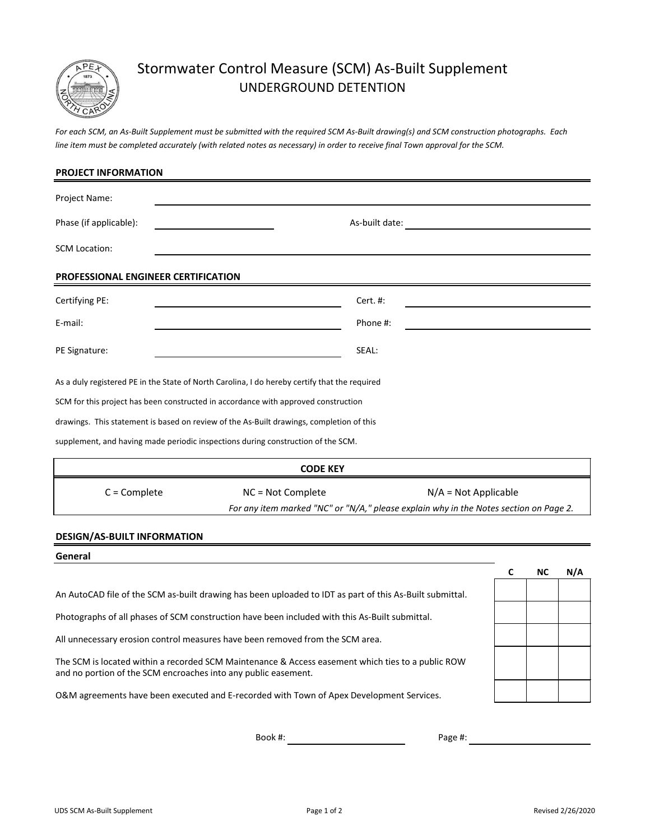

## Stormwater Control Measure (SCM) As-Built Supplement UNDERGROUND DETENTION

*For each SCM, an As-Built Supplement must be submitted with the required SCM As-Built drawing(s) and SCM construction photographs. Each line item must be completed accurately (with related notes as necessary) in order to receive final Town approval for the SCM.*

| <b>PROJECT INFORMATION</b>          |                                                                                               |                |                        |   |           |     |
|-------------------------------------|-----------------------------------------------------------------------------------------------|----------------|------------------------|---|-----------|-----|
| Project Name:                       |                                                                                               |                |                        |   |           |     |
| Phase (if applicable):              |                                                                                               | As-built date: |                        |   |           |     |
| <b>SCM Location:</b>                |                                                                                               |                |                        |   |           |     |
| PROFESSIONAL ENGINEER CERTIFICATION |                                                                                               |                |                        |   |           |     |
| Certifying PE:                      |                                                                                               | Cert. #:       |                        |   |           |     |
| E-mail:                             |                                                                                               | Phone #:       |                        |   |           |     |
| PE Signature:                       |                                                                                               | SEAL:          |                        |   |           |     |
|                                     | As a duly registered PE in the State of North Carolina, I do hereby certify that the required |                |                        |   |           |     |
|                                     | SCM for this project has been constructed in accordance with approved construction            |                |                        |   |           |     |
|                                     | drawings. This statement is based on review of the As-Built drawings, completion of this      |                |                        |   |           |     |
|                                     | supplement, and having made periodic inspections during construction of the SCM.              |                |                        |   |           |     |
|                                     | <b>CODE KEY</b>                                                                               |                |                        |   |           |     |
| $C =$ Complete                      | NC = Not Complete                                                                             |                | $N/A = Not Applicable$ |   |           |     |
|                                     | For any item marked "NC" or "N/A," please explain why in the Notes section on Page 2.         |                |                        |   |           |     |
| <b>DESIGN/AS-BUILT INFORMATION</b>  |                                                                                               |                |                        |   |           |     |
| General                             |                                                                                               |                |                        |   |           |     |
|                                     |                                                                                               |                |                        | C | <b>NC</b> | N/A |
|                                     |                                                                                               |                |                        |   |           |     |

An AutoCAD file of the SCM as-built drawing has been uploaded to IDT as part of this As-Built submittal.

Photographs of all phases of SCM construction have been included with this As-Built submittal.

All unnecessary erosion control measures have been removed from the SCM area.

and no portion of the SCM encroaches into any public easement. The SCM is located within a recorded SCM Maintenance & Access easement which ties to a public ROW

O&M agreements have been executed and E-recorded with Town of Apex Development Services.

Book #: